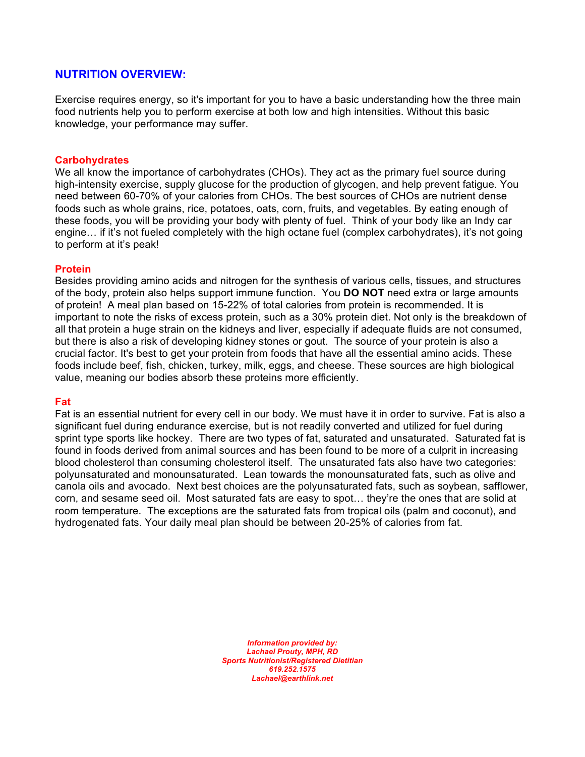## **NUTRITION OVERVIEW:**

Exercise requires energy, so it's important for you to have a basic understanding how the three main food nutrients help you to perform exercise at both low and high intensities. Without this basic knowledge, your performance may suffer.

#### **Carbohydrates**

We all know the importance of carbohydrates (CHOs). They act as the primary fuel source during high-intensity exercise, supply glucose for the production of glycogen, and help prevent fatigue. You need between 60-70% of your calories from CHOs. The best sources of CHOs are nutrient dense foods such as whole grains, rice, potatoes, oats, corn, fruits, and vegetables. By eating enough of these foods, you will be providing your body with plenty of fuel. Think of your body like an Indy car engine… if it's not fueled completely with the high octane fuel (complex carbohydrates), it's not going to perform at it's peak!

#### **Protein**

Besides providing amino acids and nitrogen for the synthesis of various cells, tissues, and structures of the body, protein also helps support immune function. You **DO NOT** need extra or large amounts of protein! A meal plan based on 15-22% of total calories from protein is recommended. It is important to note the risks of excess protein, such as a 30% protein diet. Not only is the breakdown of all that protein a huge strain on the kidneys and liver, especially if adequate fluids are not consumed, but there is also a risk of developing kidney stones or gout. The source of your protein is also a crucial factor. It's best to get your protein from foods that have all the essential amino acids. These foods include beef, fish, chicken, turkey, milk, eggs, and cheese. These sources are high biological value, meaning our bodies absorb these proteins more efficiently.

#### **Fat**

Fat is an essential nutrient for every cell in our body. We must have it in order to survive. Fat is also a significant fuel during endurance exercise, but is not readily converted and utilized for fuel during sprint type sports like hockey. There are two types of fat, saturated and unsaturated. Saturated fat is found in foods derived from animal sources and has been found to be more of a culprit in increasing blood cholesterol than consuming cholesterol itself. The unsaturated fats also have two categories: polyunsaturated and monounsaturated. Lean towards the monounsaturated fats, such as olive and canola oils and avocado. Next best choices are the polyunsaturated fats, such as soybean, safflower, corn, and sesame seed oil. Most saturated fats are easy to spot… they're the ones that are solid at room temperature. The exceptions are the saturated fats from tropical oils (palm and coconut), and hydrogenated fats. Your daily meal plan should be between 20-25% of calories from fat.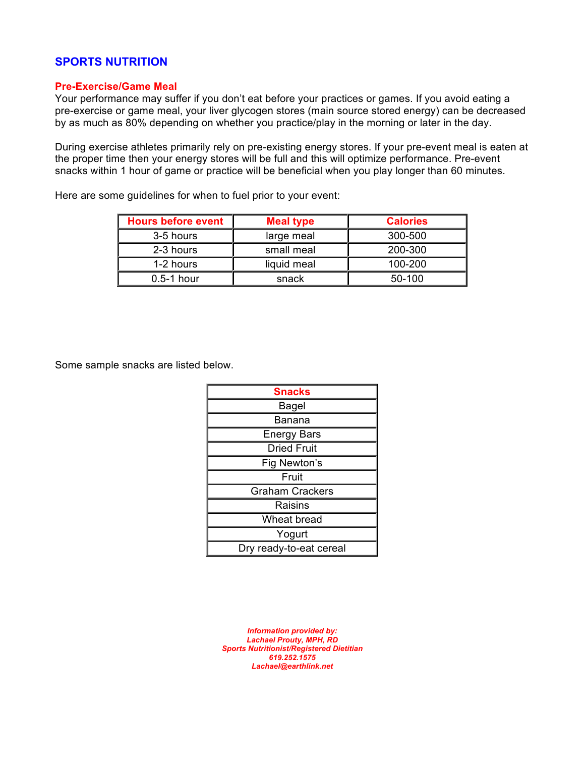### **SPORTS NUTRITION**

#### **Pre-Exercise/Game Meal**

Your performance may suffer if you don't eat before your practices or games. If you avoid eating a pre-exercise or game meal, your liver glycogen stores (main source stored energy) can be decreased by as much as 80% depending on whether you practice/play in the morning or later in the day.

During exercise athletes primarily rely on pre-existing energy stores. If your pre-event meal is eaten at the proper time then your energy stores will be full and this will optimize performance. Pre-event snacks within 1 hour of game or practice will be beneficial when you play longer than 60 minutes.

Here are some guidelines for when to fuel prior to your event:

| <b>Hours before event</b> | <b>Meal type</b> | <b>Calories</b> |
|---------------------------|------------------|-----------------|
| 3-5 hours                 | large meal       | 300-500         |
| 2-3 hours                 | small meal       | 200-300         |
| 1-2 hours                 | liquid meal      | 100-200         |
| $0.5-1$ hour              | snack            | 50-100          |

Some sample snacks are listed below.

| <b>Snacks</b>           |  |  |
|-------------------------|--|--|
| Bagel                   |  |  |
| Banana                  |  |  |
| <b>Energy Bars</b>      |  |  |
| <b>Dried Fruit</b>      |  |  |
| Fig Newton's            |  |  |
| Fruit                   |  |  |
| <b>Graham Crackers</b>  |  |  |
| Raisins                 |  |  |
| Wheat bread             |  |  |
| Yogurt                  |  |  |
| Dry ready-to-eat cereal |  |  |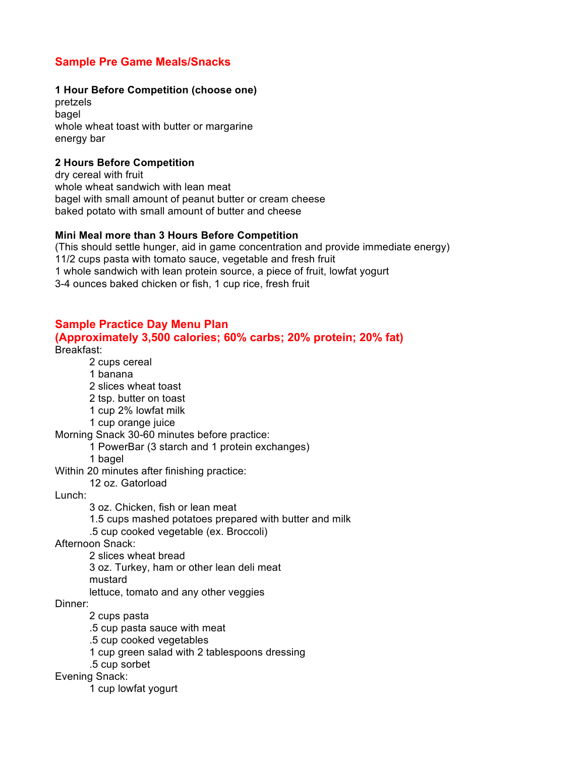# **Sample Pre Game Meals/Snacks**

#### **1 Hour Before Competition (choose one)**

pretzels bagel whole wheat toast with butter or margarine energy bar

### **2 Hours Before Competition**

dry cereal with fruit whole wheat sandwich with lean meat bagel with small amount of peanut butter or cream cheese baked potato with small amount of butter and cheese

#### **Mini Meal more than 3 Hours Before Competition**

(This should settle hunger, aid in game concentration and provide immediate energy) 11/2 cups pasta with tomato sauce, vegetable and fresh fruit 1 whole sandwich with lean protein source, a piece of fruit, lowfat yogurt 3-4 ounces baked chicken or fish, 1 cup rice, fresh fruit

## **Sample Practice Day Menu Plan**

#### **(Approximately 3,500 calories; 60% carbs; 20% protein; 20% fat)** Breakfast:

- 2 cups cereal
- 1 banana
- 2 slices wheat toast
- 2 tsp. butter on toast
- 1 cup 2% lowfat milk
- 1 cup orange juice

Morning Snack 30-60 minutes before practice:

- 1 PowerBar (3 starch and 1 protein exchanges)
- 1 bagel

Within 20 minutes after finishing practice:

12 oz. Gatorload

Lunch:

3 oz. Chicken, fish or lean meat

1.5 cups mashed potatoes prepared with butter and milk

.5 cup cooked vegetable (ex. Broccoli)

Afternoon Snack:

2 slices wheat bread

3 oz. Turkey, ham or other lean deli meat

mustard

lettuce, tomato and any other veggies

Dinner:

2 cups pasta

.5 cup pasta sauce with meat

.5 cup cooked vegetables

1 cup green salad with 2 tablespoons dressing

.5 cup sorbet

Evening Snack:

1 cup lowfat yogurt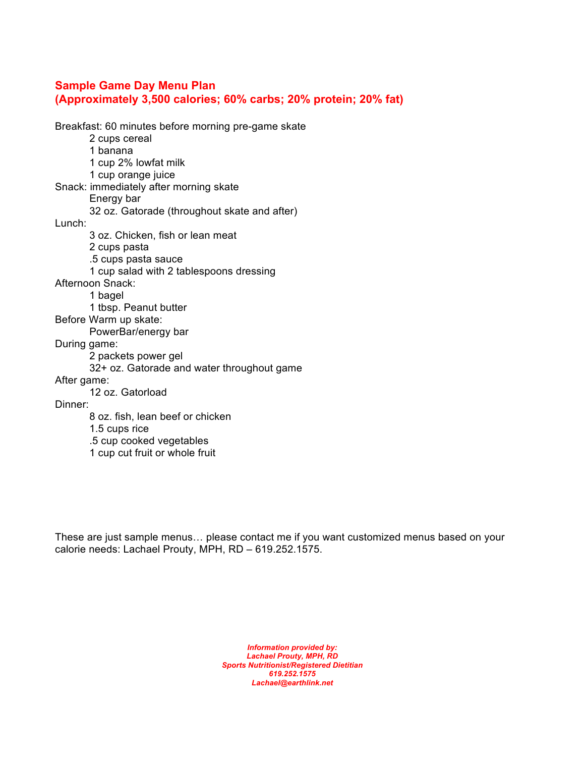# **Sample Game Day Menu Plan (Approximately 3,500 calories; 60% carbs; 20% protein; 20% fat)**

Breakfast: 60 minutes before morning pre-game skate 2 cups cereal 1 banana 1 cup 2% lowfat milk 1 cup orange juice Snack: immediately after morning skate Energy bar 32 oz. Gatorade (throughout skate and after) Lunch: 3 oz. Chicken, fish or lean meat 2 cups pasta .5 cups pasta sauce 1 cup salad with 2 tablespoons dressing Afternoon Snack: 1 bagel 1 tbsp. Peanut butter Before Warm up skate: PowerBar/energy bar During game: 2 packets power gel 32+ oz. Gatorade and water throughout game After game: 12 oz. Gatorload Dinner: 8 oz. fish, lean beef or chicken 1.5 cups rice .5 cup cooked vegetables

1 cup cut fruit or whole fruit

These are just sample menus… please contact me if you want customized menus based on your calorie needs: Lachael Prouty, MPH, RD – 619.252.1575.